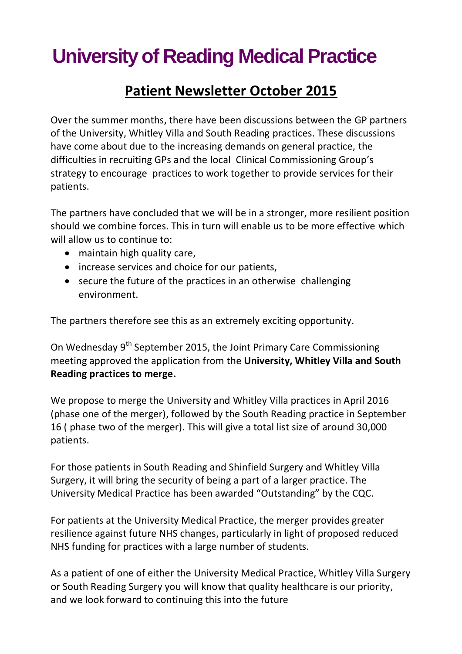# **University of Reading Medical Practice**

### **Patient Newsletter October 2015**

Over the summer months, there have been discussions between the GP partners of the University, Whitley Villa and South Reading practices. These discussions have come about due to the increasing demands on general practice, the difficulties in recruiting GPs and the local Clinical Commissioning Group's strategy to encourage practices to work together to provide services for their patients.

The partners have concluded that we will be in a stronger, more resilient position should we combine forces. This in turn will enable us to be more effective which will allow us to continue to:

- maintain high quality care,
- increase services and choice for our patients,
- secure the future of the practices in an otherwise challenging environment.

The partners therefore see this as an extremely exciting opportunity.

On Wednesday 9<sup>th</sup> September 2015, the Joint Primary Care Commissioning meeting approved the application from the **University, Whitley Villa and South Reading practices to merge.**

We propose to merge the University and Whitley Villa practices in April 2016 (phase one of the merger), followed by the South Reading practice in September 16 ( phase two of the merger). This will give a total list size of around 30,000 patients.

For those patients in South Reading and Shinfield Surgery and Whitley Villa Surgery, it will bring the security of being a part of a larger practice. The University Medical Practice has been awarded "Outstanding" by the CQC.

For patients at the University Medical Practice, the merger provides greater resilience against future NHS changes, particularly in light of proposed reduced NHS funding for practices with a large number of students.

As a patient of one of either the University Medical Practice, Whitley Villa Surgery or South Reading Surgery you will know that quality healthcare is our priority, and we look forward to continuing this into the future